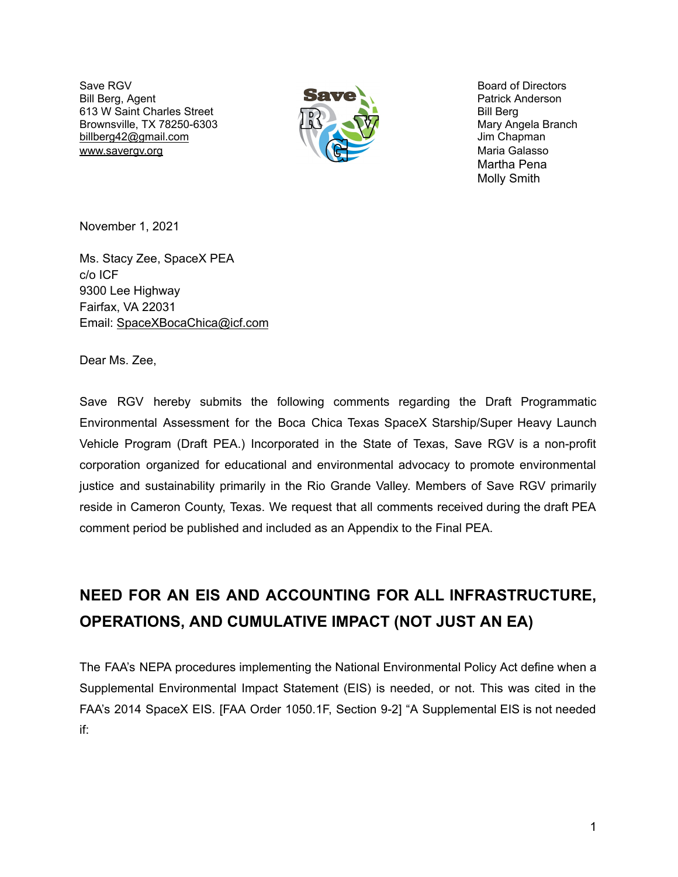Save RGV Board of Directors Bill Berg, Agent **Patrick Anderson Patrick Anderson** 613 W Saint Charles Street Bill Berg Bill Berg Brownsville, TX 78250-6303 Mary Angela Branch billberg42@gmail.com Jim Chapman www.savergv.org **Maria Galasso** Maria Galasso



Martha Pena Molly Smith

November 1, 2021

Ms. Stacy Zee, SpaceX PEA c/o ICF 9300 Lee Highway Fairfax, VA 22031 Email: SpaceXBocaChica@icf.com

Dear Ms. Zee,

Save RGV hereby submits the following comments regarding the Draft Programmatic Environmental Assessment for the Boca Chica Texas SpaceX Starship/Super Heavy Launch Vehicle Program (Draft PEA.) Incorporated in the State of Texas, Save RGV is a non-profit corporation organized for educational and environmental advocacy to promote environmental justice and sustainability primarily in the Rio Grande Valley. Members of Save RGV primarily reside in Cameron County, Texas. We request that all comments received during the draft PEA comment period be published and included as an Appendix to the Final PEA.

# **NEED FOR AN EIS AND ACCOUNTING FOR ALL INFRASTRUCTURE, OPERATIONS, AND CUMULATIVE IMPACT (NOT JUST AN EA)**

The FAA's NEPA procedures implementing the National Environmental Policy Act define when a Supplemental Environmental Impact Statement (EIS) is needed, or not. This was cited in the FAA's 2014 SpaceX EIS. [FAA Order 1050.1F, Section 9-2] "A Supplemental EIS is not needed if: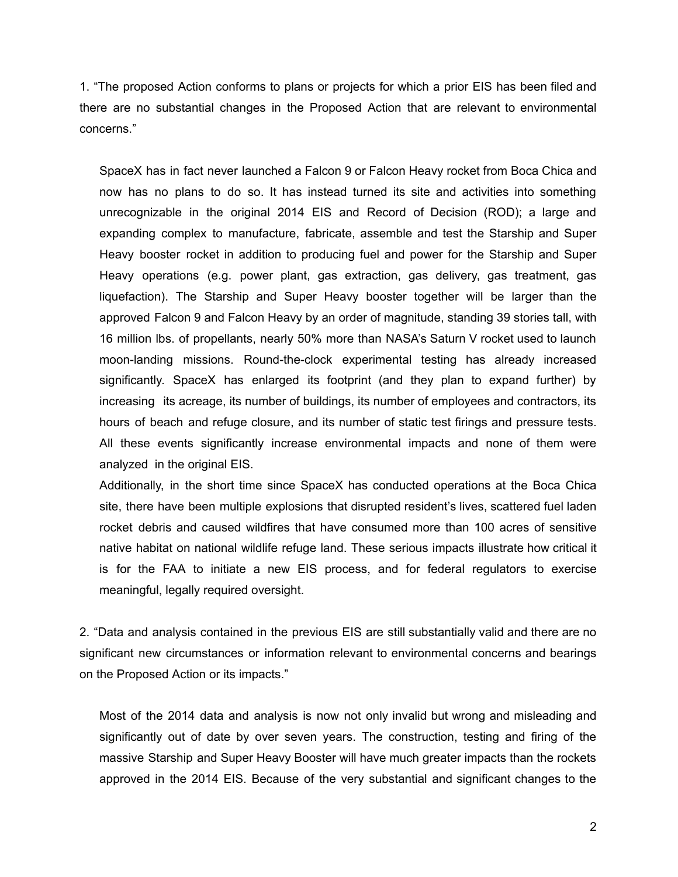1. "The proposed Action conforms to plans or projects for which a prior EIS has been filed and there are no substantial changes in the Proposed Action that are relevant to environmental concerns."

SpaceX has in fact never launched a Falcon 9 or Falcon Heavy rocket from Boca Chica and now has no plans to do so. It has instead turned its site and activities into something unrecognizable in the original 2014 EIS and Record of Decision (ROD); a large and expanding complex to manufacture, fabricate, assemble and test the Starship and Super Heavy booster rocket in addition to producing fuel and power for the Starship and Super Heavy operations (e.g. power plant, gas extraction, gas delivery, gas treatment, gas liquefaction). The Starship and Super Heavy booster together will be larger than the approved Falcon 9 and Falcon Heavy by an order of magnitude, standing 39 stories tall, with 16 million lbs. of propellants, nearly 50% more than NASA's Saturn V rocket used to launch moon-landing missions. Round-the-clock experimental testing has already increased significantly. SpaceX has enlarged its footprint (and they plan to expand further) by increasing its acreage, its number of buildings, its number of employees and contractors, its hours of beach and refuge closure, and its number of static test firings and pressure tests. All these events significantly increase environmental impacts and none of them were analyzed in the original EIS.

Additionally, in the short time since SpaceX has conducted operations at the Boca Chica site, there have been multiple explosions that disrupted resident's lives, scattered fuel laden rocket debris and caused wildfires that have consumed more than 100 acres of sensitive native habitat on national wildlife refuge land. These serious impacts illustrate how critical it is for the FAA to initiate a new EIS process, and for federal regulators to exercise meaningful, legally required oversight.

2. "Data and analysis contained in the previous EIS are still substantially valid and there are no significant new circumstances or information relevant to environmental concerns and bearings on the Proposed Action or its impacts."

Most of the 2014 data and analysis is now not only invalid but wrong and misleading and significantly out of date by over seven years. The construction, testing and firing of the massive Starship and Super Heavy Booster will have much greater impacts than the rockets approved in the 2014 EIS. Because of the very substantial and significant changes to the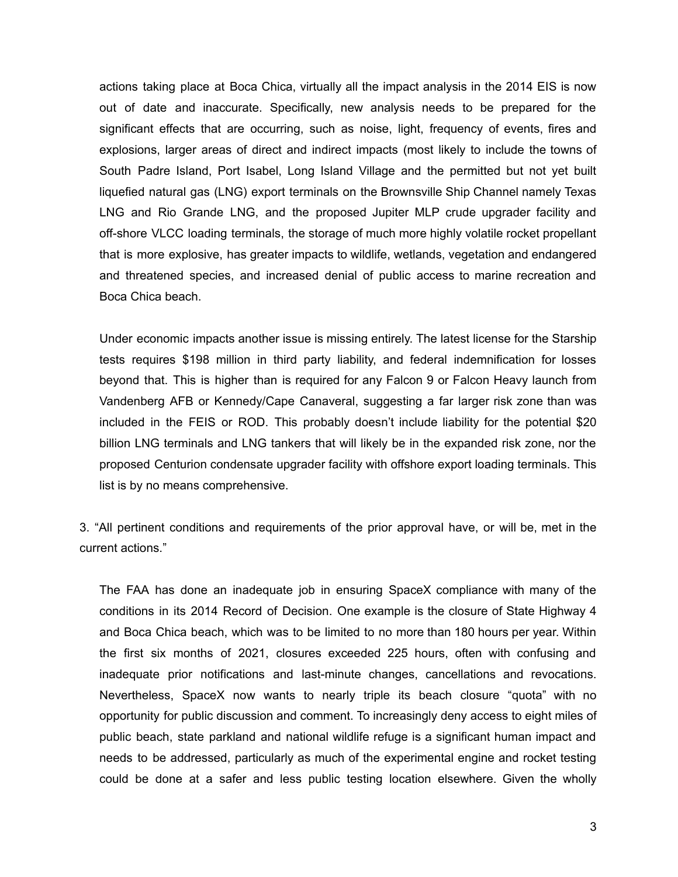actions taking place at Boca Chica, virtually all the impact analysis in the 2014 EIS is now out of date and inaccurate. Specifically, new analysis needs to be prepared for the significant effects that are occurring, such as noise, light, frequency of events, fires and explosions, larger areas of direct and indirect impacts (most likely to include the towns of South Padre Island, Port Isabel, Long Island Village and the permitted but not yet built liquefied natural gas (LNG) export terminals on the Brownsville Ship Channel namely Texas LNG and Rio Grande LNG, and the proposed Jupiter MLP crude upgrader facility and off-shore VLCC loading terminals, the storage of much more highly volatile rocket propellant that is more explosive, has greater impacts to wildlife, wetlands, vegetation and endangered and threatened species, and increased denial of public access to marine recreation and Boca Chica beach.

Under economic impacts another issue is missing entirely. The latest license for the Starship tests requires \$198 million in third party liability, and federal indemnification for losses beyond that. This is higher than is required for any Falcon 9 or Falcon Heavy launch from Vandenberg AFB or Kennedy/Cape Canaveral, suggesting a far larger risk zone than was included in the FEIS or ROD. This probably doesn't include liability for the potential \$20 billion LNG terminals and LNG tankers that will likely be in the expanded risk zone, nor the proposed Centurion condensate upgrader facility with offshore export loading terminals. This list is by no means comprehensive.

3. "All pertinent conditions and requirements of the prior approval have, or will be, met in the current actions."

The FAA has done an inadequate job in ensuring SpaceX compliance with many of the conditions in its 2014 Record of Decision. One example is the closure of State Highway 4 and Boca Chica beach, which was to be limited to no more than 180 hours per year. Within the first six months of 2021, closures exceeded 225 hours, often with confusing and inadequate prior notifications and last-minute changes, cancellations and revocations. Nevertheless, SpaceX now wants to nearly triple its beach closure "quota" with no opportunity for public discussion and comment. To increasingly deny access to eight miles of public beach, state parkland and national wildlife refuge is a significant human impact and needs to be addressed, particularly as much of the experimental engine and rocket testing could be done at a safer and less public testing location elsewhere. Given the wholly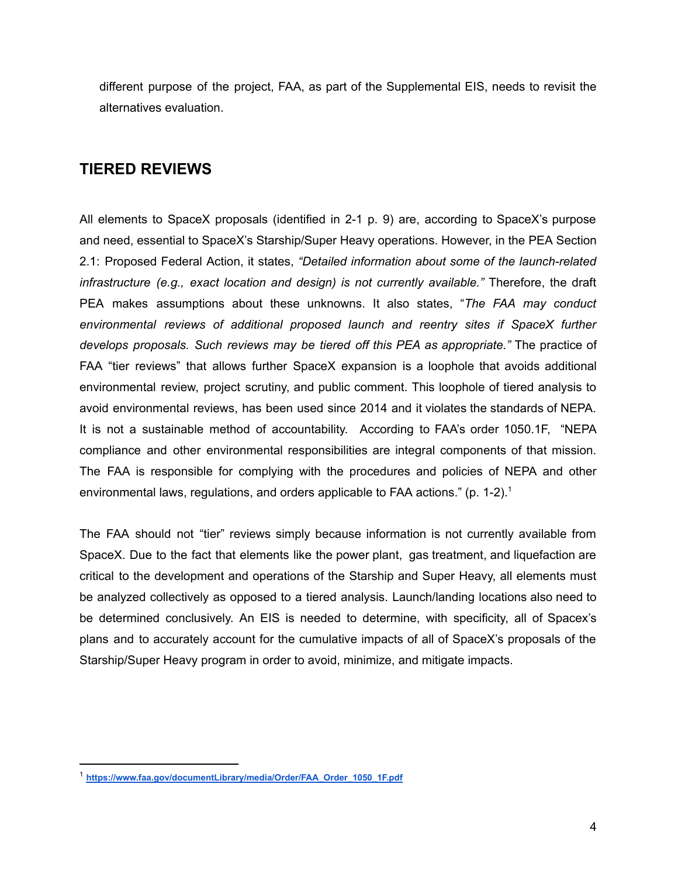different purpose of the project, FAA, as part of the Supplemental EIS, needs to revisit the alternatives evaluation.

# **TIERED REVIEWS**

All elements to SpaceX proposals (identified in 2-1 p. 9) are, according to SpaceX's purpose and need, essential to SpaceX's Starship/Super Heavy operations. However, in the PEA Section 2.1: Proposed Federal Action, it states, *"Detailed information about some of the launch-related infrastructure (e.g., exact location and design) is not currently available."* Therefore, the draft PEA makes assumptions about these unknowns. It also states, "*The FAA may conduct environmental reviews of additional proposed launch and reentry sites if SpaceX further develops proposals. Such reviews may be tiered off this PEA as appropriate."* The practice of FAA "tier reviews" that allows further SpaceX expansion is a loophole that avoids additional environmental review, project scrutiny, and public comment. This loophole of tiered analysis to avoid environmental reviews, has been used since 2014 and it violates the standards of NEPA. It is not a sustainable method of accountability. According to FAA's order 1050.1F, "NEPA compliance and other environmental responsibilities are integral components of that mission. The FAA is responsible for complying with the procedures and policies of NEPA and other environmental laws, regulations, and orders applicable to FAA actions." (p. 1-2). 1

The FAA should not "tier" reviews simply because information is not currently available from SpaceX. Due to the fact that elements like the power plant, gas treatment, and liquefaction are critical to the development and operations of the Starship and Super Heavy, all elements must be analyzed collectively as opposed to a tiered analysis. Launch/landing locations also need to be determined conclusively. An EIS is needed to determine, with specificity, all of Spacex's plans and to accurately account for the cumulative impacts of all of SpaceX's proposals of the Starship/Super Heavy program in order to avoid, minimize, and mitigate impacts.

<sup>1</sup> **https://www.faa.gov/documentLibrary/media/Order/FAA\_Order\_1050\_1F.pdf**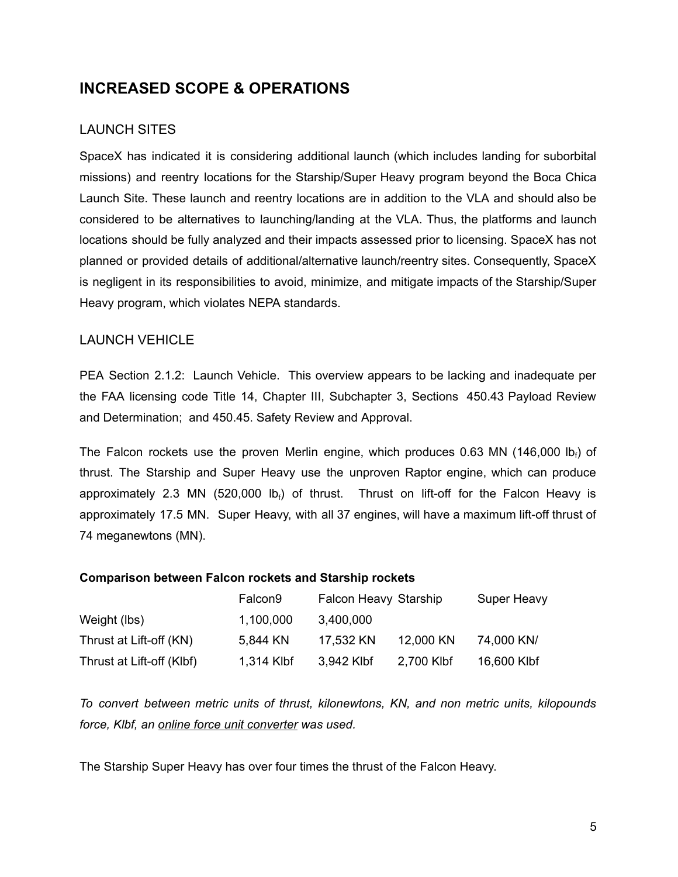# **INCREASED SCOPE & OPERATIONS**

## LAUNCH SITES

SpaceX has indicated it is considering additional launch (which includes landing for suborbital missions) and reentry locations for the Starship/Super Heavy program beyond the Boca Chica Launch Site. These launch and reentry locations are in addition to the VLA and should also be considered to be alternatives to launching/landing at the VLA. Thus, the platforms and launch locations should be fully analyzed and their impacts assessed prior to licensing. SpaceX has not planned or provided details of additional/alternative launch/reentry sites. Consequently, SpaceX is negligent in its responsibilities to avoid, minimize, and mitigate impacts of the Starship/Super Heavy program, which violates NEPA standards.

### LAUNCH VEHICLE

PEA Section 2.1.2: Launch Vehicle. This overview appears to be lacking and inadequate per the FAA licensing code Title 14, Chapter III, Subchapter 3, Sections 450.43 Payload Review and Determination; and 450.45. Safety Review and Approval.

The Falcon rockets use the proven Merlin engine, which produces 0.63 MN (146,000 lb<sub>f</sub>) of thrust. The Starship and Super Heavy use the unproven Raptor engine, which can produce approximately 2.3 MN (520,000 lb<sub>f</sub>) of thrust. Thrust on lift-off for the Falcon Heavy is approximately 17.5 MN. Super Heavy, with all 37 engines, will have a maximum lift-off thrust of 74 meganewtons (MN).

### **Comparison between Falcon rockets and Starship rockets**

|                           | Falcon <sub>9</sub> | Falcon Heavy Starship |            | Super Heavy |
|---------------------------|---------------------|-----------------------|------------|-------------|
| Weight (lbs)              | 1,100,000           | 3,400,000             |            |             |
| Thrust at Lift-off (KN)   | 5,844 KN            | 17,532 KN             | 12,000 KN  | 74,000 KN/  |
| Thrust at Lift-off (Klbf) | 1,314 Klbf          | 3,942 Klbf            | 2,700 Klbf | 16,600 Klbf |

*To convert between metric units of thrust, kilonewtons, KN, and non metric units, kilopounds force, Klbf, an online force unit converter was used.*

The Starship Super Heavy has over four times the thrust of the Falcon Heavy.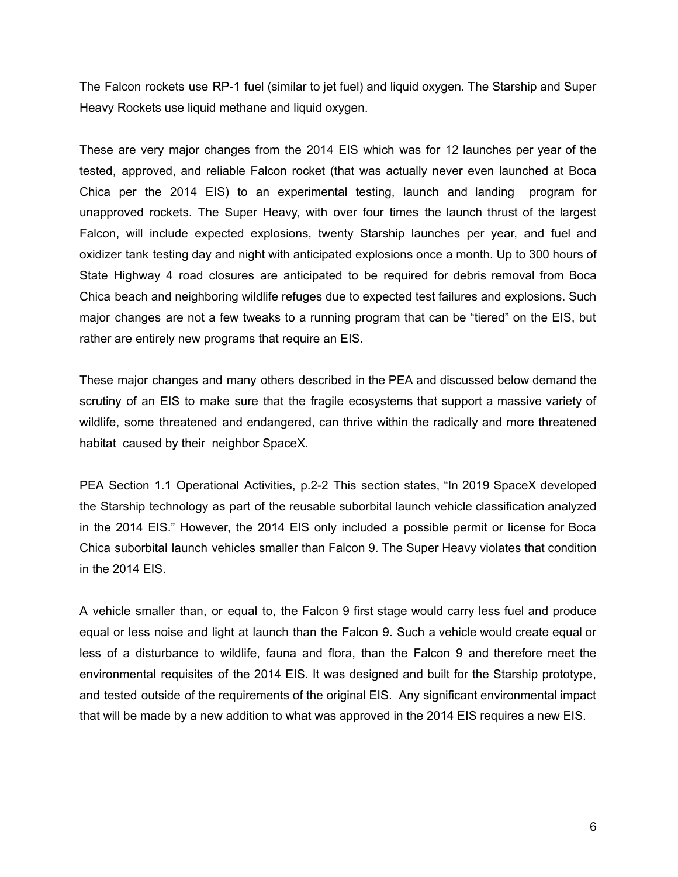The Falcon rockets use RP-1 fuel (similar to jet fuel) and liquid oxygen. The Starship and Super Heavy Rockets use liquid methane and liquid oxygen.

These are very major changes from the 2014 EIS which was for 12 launches per year of the tested, approved, and reliable Falcon rocket (that was actually never even launched at Boca Chica per the 2014 EIS) to an experimental testing, launch and landing program for unapproved rockets. The Super Heavy, with over four times the launch thrust of the largest Falcon, will include expected explosions, twenty Starship launches per year, and fuel and oxidizer tank testing day and night with anticipated explosions once a month. Up to 300 hours of State Highway 4 road closures are anticipated to be required for debris removal from Boca Chica beach and neighboring wildlife refuges due to expected test failures and explosions. Such major changes are not a few tweaks to a running program that can be "tiered" on the EIS, but rather are entirely new programs that require an EIS.

These major changes and many others described in the PEA and discussed below demand the scrutiny of an EIS to make sure that the fragile ecosystems that support a massive variety of wildlife, some threatened and endangered, can thrive within the radically and more threatened habitat caused by their neighbor SpaceX.

PEA Section 1.1 Operational Activities, p.2-2 This section states, "In 2019 SpaceX developed the Starship technology as part of the reusable suborbital launch vehicle classification analyzed in the 2014 EIS." However, the 2014 EIS only included a possible permit or license for Boca Chica suborbital launch vehicles smaller than Falcon 9. The Super Heavy violates that condition in the 2014 EIS.

A vehicle smaller than, or equal to, the Falcon 9 first stage would carry less fuel and produce equal or less noise and light at launch than the Falcon 9. Such a vehicle would create equal or less of a disturbance to wildlife, fauna and flora, than the Falcon 9 and therefore meet the environmental requisites of the 2014 EIS. It was designed and built for the Starship prototype, and tested outside of the requirements of the original EIS. Any significant environmental impact that will be made by a new addition to what was approved in the 2014 EIS requires a new EIS.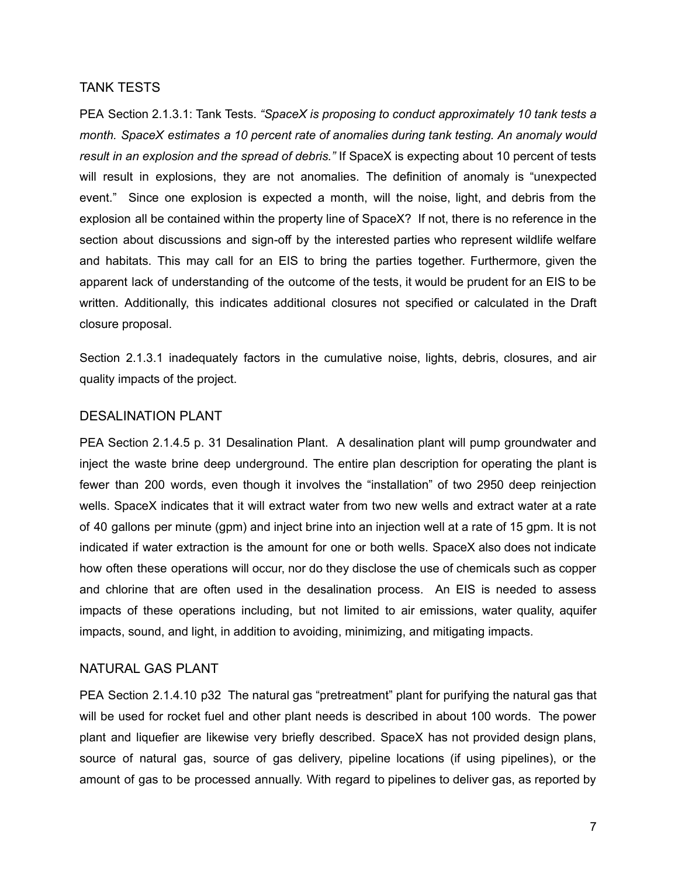#### TANK TESTS

PEA Section 2.1.3.1: Tank Tests. *"SpaceX is proposing to conduct approximately 10 tank tests a month. SpaceX estimates a 10 percent rate of anomalies during tank testing. An anomaly would result in an explosion and the spread of debris."* If SpaceX is expecting about 10 percent of tests will result in explosions, they are not anomalies. The definition of anomaly is "unexpected event." Since one explosion is expected a month, will the noise, light, and debris from the explosion all be contained within the property line of SpaceX? If not, there is no reference in the section about discussions and sign-off by the interested parties who represent wildlife welfare and habitats. This may call for an EIS to bring the parties together. Furthermore, given the apparent lack of understanding of the outcome of the tests, it would be prudent for an EIS to be written. Additionally, this indicates additional closures not specified or calculated in the Draft closure proposal.

Section 2.1.3.1 inadequately factors in the cumulative noise, lights, debris, closures, and air quality impacts of the project.

### DESALINATION PLANT

PEA Section 2.1.4.5 p. 31 Desalination Plant. A desalination plant will pump groundwater and inject the waste brine deep underground. The entire plan description for operating the plant is fewer than 200 words, even though it involves the "installation" of two 2950 deep reinjection wells. SpaceX indicates that it will extract water from two new wells and extract water at a rate of 40 gallons per minute (gpm) and inject brine into an injection well at a rate of 15 gpm. It is not indicated if water extraction is the amount for one or both wells. SpaceX also does not indicate how often these operations will occur, nor do they disclose the use of chemicals such as copper and chlorine that are often used in the desalination process. An EIS is needed to assess impacts of these operations including, but not limited to air emissions, water quality, aquifer impacts, sound, and light, in addition to avoiding, minimizing, and mitigating impacts.

### NATURAL GAS PLANT

PEA Section 2.1.4.10 p32 The natural gas "pretreatment" plant for purifying the natural gas that will be used for rocket fuel and other plant needs is described in about 100 words. The power plant and liquefier are likewise very briefly described. SpaceX has not provided design plans, source of natural gas, source of gas delivery, pipeline locations (if using pipelines), or the amount of gas to be processed annually. With regard to pipelines to deliver gas, as reported by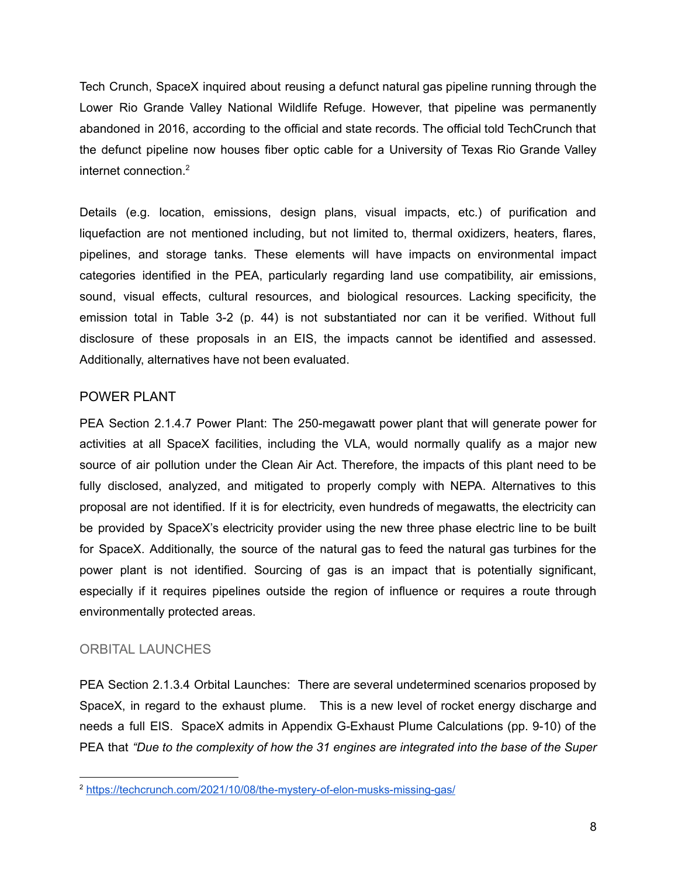Tech Crunch, SpaceX inquired about reusing a defunct natural gas pipeline running through the Lower Rio Grande Valley National Wildlife Refuge. However, that pipeline was permanently abandoned in 2016, according to the official and state records. The official told TechCrunch that the defunct pipeline now houses fiber optic cable for a University of Texas Rio Grande Valley internet connection. 2

Details (e.g. location, emissions, design plans, visual impacts, etc.) of purification and liquefaction are not mentioned including, but not limited to, thermal oxidizers, heaters, flares, pipelines, and storage tanks. These elements will have impacts on environmental impact categories identified in the PEA, particularly regarding land use compatibility, air emissions, sound, visual effects, cultural resources, and biological resources. Lacking specificity, the emission total in Table 3-2 (p. 44) is not substantiated nor can it be verified. Without full disclosure of these proposals in an EIS, the impacts cannot be identified and assessed. Additionally, alternatives have not been evaluated.

### POWER PLANT

PEA Section 2.1.4.7 Power Plant: The 250-megawatt power plant that will generate power for activities at all SpaceX facilities, including the VLA, would normally qualify as a major new source of air pollution under the Clean Air Act. Therefore, the impacts of this plant need to be fully disclosed, analyzed, and mitigated to properly comply with NEPA. Alternatives to this proposal are not identified. If it is for electricity, even hundreds of megawatts, the electricity can be provided by SpaceX's electricity provider using the new three phase electric line to be built for SpaceX. Additionally, the source of the natural gas to feed the natural gas turbines for the power plant is not identified. Sourcing of gas is an impact that is potentially significant, especially if it requires pipelines outside the region of influence or requires a route through environmentally protected areas.

### ORBITAL LAUNCHES

PEA Section 2.1.3.4 Orbital Launches: There are several undetermined scenarios proposed by SpaceX, in regard to the exhaust plume. This is a new level of rocket energy discharge and needs a full EIS. SpaceX admits in Appendix G-Exhaust Plume Calculations (pp. 9-10) of the PEA that *"Due to the complexity of how the 31 engines are integrated into the base of the Super*

<sup>&</sup>lt;sup>2</sup> https://techcrunch.com/2021/10/08/the-mystery-of-elon-musks-missing-gas/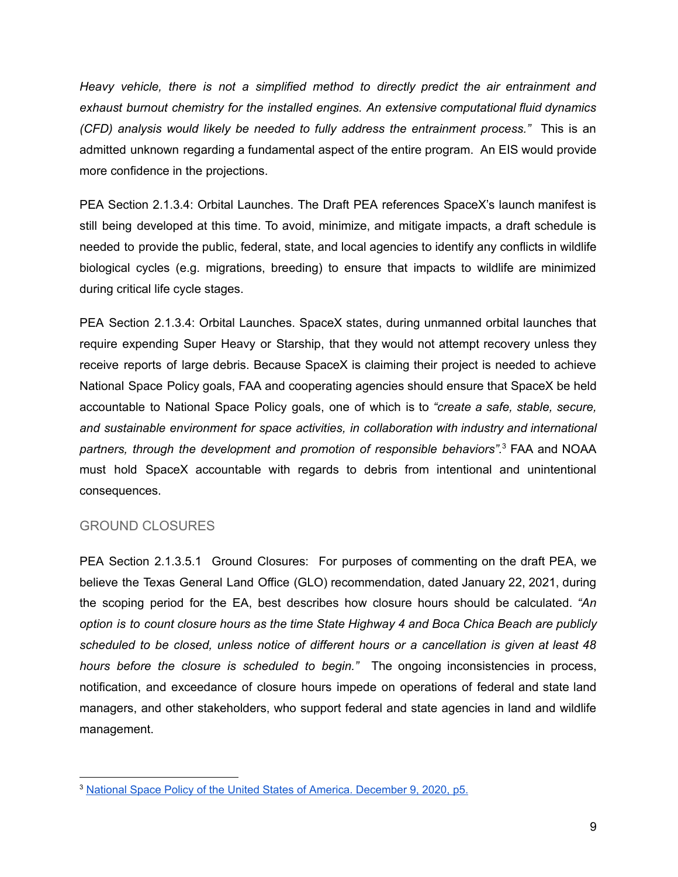*Heavy vehicle, there is not a simplified method to directly predict the air entrainment and exhaust burnout chemistry for the installed engines. An extensive computational fluid dynamics (CFD) analysis would likely be needed to fully address the entrainment process."* This is an admitted unknown regarding a fundamental aspect of the entire program. An EIS would provide more confidence in the projections.

PEA Section 2.1.3.4: Orbital Launches. The Draft PEA references SpaceX's launch manifest is still being developed at this time. To avoid, minimize, and mitigate impacts, a draft schedule is needed to provide the public, federal, state, and local agencies to identify any conflicts in wildlife biological cycles (e.g. migrations, breeding) to ensure that impacts to wildlife are minimized during critical life cycle stages.

PEA Section 2.1.3.4: Orbital Launches. SpaceX states, during unmanned orbital launches that require expending Super Heavy or Starship, that they would not attempt recovery unless they receive reports of large debris. Because SpaceX is claiming their project is needed to achieve National Space Policy goals, FAA and cooperating agencies should ensure that SpaceX be held accountable to National Space Policy goals, one of which is to *"create a safe, stable, secure, and sustainable environment for space activities, in collaboration with industry and international partners, through the development and promotion of responsible behaviors".* <sup>3</sup> FAA and NOAA must hold SpaceX accountable with regards to debris from intentional and unintentional consequences.

### GROUND CLOSURES

PEA Section 2.1.3.5.1 Ground Closures: For purposes of commenting on the draft PEA, we believe the Texas General Land Office (GLO) recommendation, dated January 22, 2021, during the scoping period for the EA, best describes how closure hours should be calculated. *"An option is to count closure hours as the time State Highway 4 and Boca Chica Beach are publicly scheduled to be closed, unless notice of different hours or a cancellation is given at least 48 hours before the closure is scheduled to begin."* The ongoing inconsistencies in process, notification, and exceedance of closure hours impede on operations of federal and state land managers, and other stakeholders, who support federal and state agencies in land and wildlife management.

<sup>3</sup> National Space Policy of the United States of America. December 9, 2020, p5.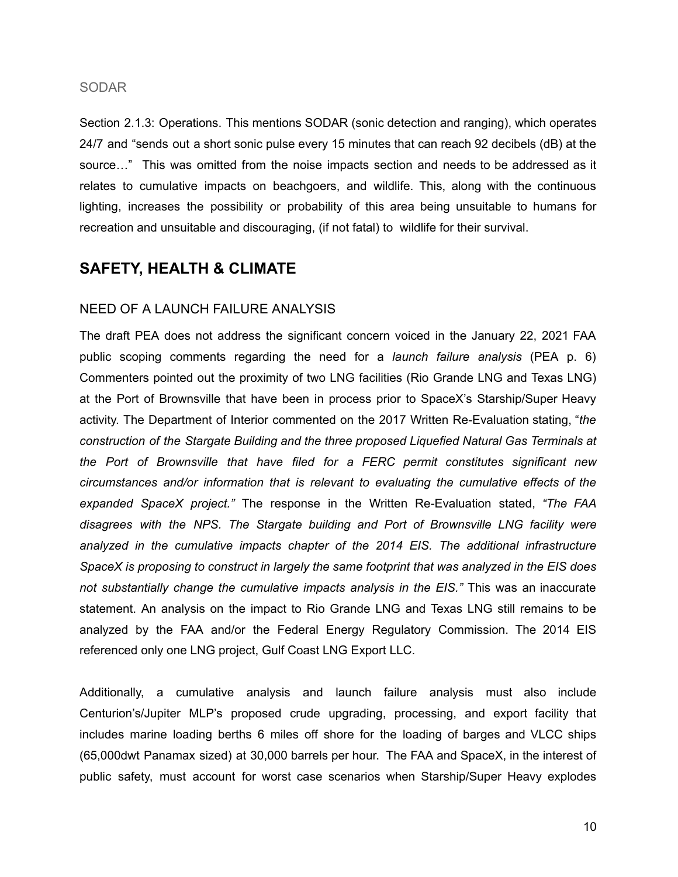#### SODAR

Section 2.1.3: Operations. This mentions SODAR (sonic detection and ranging), which operates 24/7 and "sends out a short sonic pulse every 15 minutes that can reach 92 decibels (dB) at the source…" This was omitted from the noise impacts section and needs to be addressed as it relates to cumulative impacts on beachgoers, and wildlife. This, along with the continuous lighting, increases the possibility or probability of this area being unsuitable to humans for recreation and unsuitable and discouraging, (if not fatal) to wildlife for their survival.

# **SAFETY, HEALTH & CLIMATE**

### NEED OF A LAUNCH FAILURE ANALYSIS

The draft PEA does not address the significant concern voiced in the January 22, 2021 FAA public scoping comments regarding the need for a *launch failure analysis* (PEA p. 6) Commenters pointed out the proximity of two LNG facilities (Rio Grande LNG and Texas LNG) at the Port of Brownsville that have been in process prior to SpaceX's Starship/Super Heavy activity. The Department of Interior commented on the 2017 Written Re-Evaluation stating, "*the construction of the Stargate Building and the three proposed Liquefied Natural Gas Terminals at the Port of Brownsville that have filed for a FERC permit constitutes significant new circumstances and/or information that is relevant to evaluating the cumulative effects of the expanded SpaceX project."* The response in the Written Re-Evaluation stated, *"The FAA disagrees with the NPS. The Stargate building and Port of Brownsville LNG facility were analyzed in the cumulative impacts chapter of the 2014 EIS. The additional infrastructure SpaceX is proposing to construct in largely the same footprint that was analyzed in the EIS does not substantially change the cumulative impacts analysis in the EIS."* This was an inaccurate statement. An analysis on the impact to Rio Grande LNG and Texas LNG still remains to be analyzed by the FAA and/or the Federal Energy Regulatory Commission. The 2014 EIS referenced only one LNG project, Gulf Coast LNG Export LLC.

Additionally, a cumulative analysis and launch failure analysis must also include Centurion's/Jupiter MLP's proposed crude upgrading, processing, and export facility that includes marine loading berths 6 miles off shore for the loading of barges and VLCC ships (65,000dwt Panamax sized) at 30,000 barrels per hour. The FAA and SpaceX, in the interest of public safety, must account for worst case scenarios when Starship/Super Heavy explodes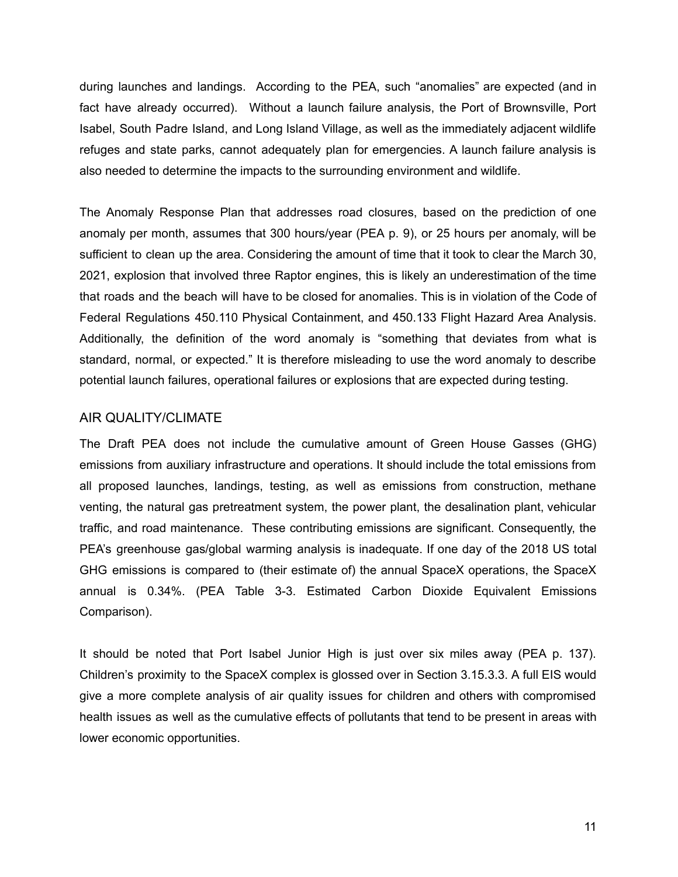during launches and landings. According to the PEA, such "anomalies" are expected (and in fact have already occurred). Without a launch failure analysis, the Port of Brownsville, Port Isabel, South Padre Island, and Long Island Village, as well as the immediately adjacent wildlife refuges and state parks, cannot adequately plan for emergencies. A launch failure analysis is also needed to determine the impacts to the surrounding environment and wildlife.

The Anomaly Response Plan that addresses road closures, based on the prediction of one anomaly per month, assumes that 300 hours/year (PEA p. 9), or 25 hours per anomaly, will be sufficient to clean up the area. Considering the amount of time that it took to clear the March 30, 2021, explosion that involved three Raptor engines, this is likely an underestimation of the time that roads and the beach will have to be closed for anomalies. This is in violation of the Code of Federal Regulations 450.110 Physical Containment, and 450.133 Flight Hazard Area Analysis. Additionally, the definition of the word anomaly is "something that deviates from what is standard, normal, or expected." It is therefore misleading to use the word anomaly to describe potential launch failures, operational failures or explosions that are expected during testing.

#### AIR QUALITY/CLIMATE

The Draft PEA does not include the cumulative amount of Green House Gasses (GHG) emissions from auxiliary infrastructure and operations. It should include the total emissions from all proposed launches, landings, testing, as well as emissions from construction, methane venting, the natural gas pretreatment system, the power plant, the desalination plant, vehicular traffic, and road maintenance. These contributing emissions are significant. Consequently, the PEA's greenhouse gas/global warming analysis is inadequate. If one day of the 2018 US total GHG emissions is compared to (their estimate of) the annual SpaceX operations, the SpaceX annual is 0.34%. (PEA Table 3-3. Estimated Carbon Dioxide Equivalent Emissions Comparison).

It should be noted that Port Isabel Junior High is just over six miles away (PEA p. 137). Children's proximity to the SpaceX complex is glossed over in Section 3.15.3.3. A full EIS would give a more complete analysis of air quality issues for children and others with compromised health issues as well as the cumulative effects of pollutants that tend to be present in areas with lower economic opportunities.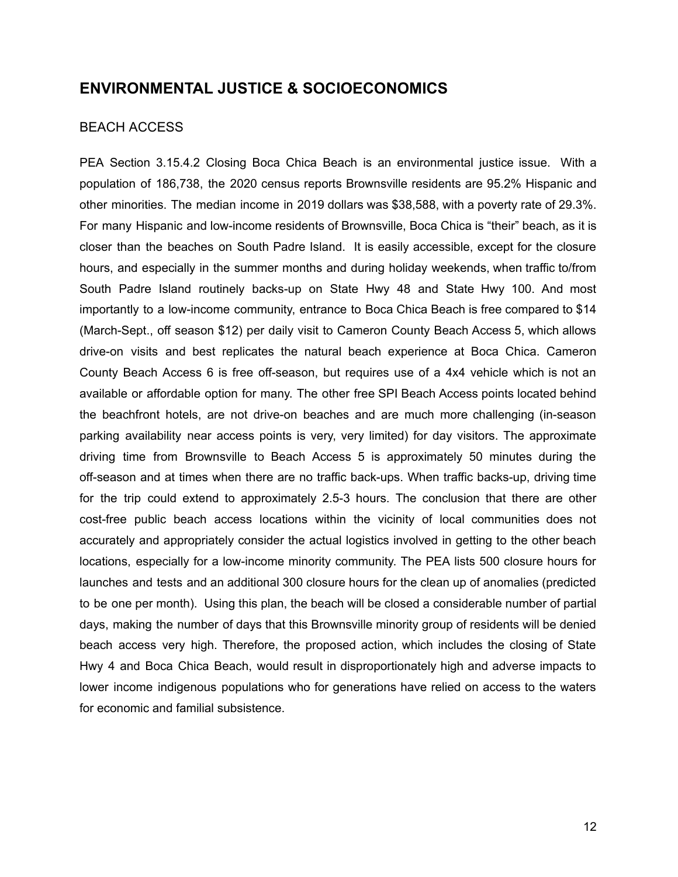### **ENVIRONMENTAL JUSTICE & SOCIOECONOMICS**

### BEACH ACCESS

PEA Section 3.15.4.2 Closing Boca Chica Beach is an environmental justice issue. With a population of 186,738, the 2020 census reports Brownsville residents are 95.2% Hispanic and other minorities. The median income in 2019 dollars was \$38,588, with a poverty rate of 29.3%. For many Hispanic and low-income residents of Brownsville, Boca Chica is "their" beach, as it is closer than the beaches on South Padre Island. It is easily accessible, except for the closure hours, and especially in the summer months and during holiday weekends, when traffic to/from South Padre Island routinely backs-up on State Hwy 48 and State Hwy 100. And most importantly to a low-income community, entrance to Boca Chica Beach is free compared to \$14 (March-Sept., off season \$12) per daily visit to Cameron County Beach Access 5, which allows drive-on visits and best replicates the natural beach experience at Boca Chica. Cameron County Beach Access 6 is free off-season, but requires use of a 4x4 vehicle which is not an available or affordable option for many. The other free SPI Beach Access points located behind the beachfront hotels, are not drive-on beaches and are much more challenging (in-season parking availability near access points is very, very limited) for day visitors. The approximate driving time from Brownsville to Beach Access 5 is approximately 50 minutes during the off-season and at times when there are no traffic back-ups. When traffic backs-up, driving time for the trip could extend to approximately 2.5-3 hours. The conclusion that there are other cost-free public beach access locations within the vicinity of local communities does not accurately and appropriately consider the actual logistics involved in getting to the other beach locations, especially for a low-income minority community. The PEA lists 500 closure hours for launches and tests and an additional 300 closure hours for the clean up of anomalies (predicted to be one per month). Using this plan, the beach will be closed a considerable number of partial days, making the number of days that this Brownsville minority group of residents will be denied beach access very high. Therefore, the proposed action, which includes the closing of State Hwy 4 and Boca Chica Beach, would result in disproportionately high and adverse impacts to lower income indigenous populations who for generations have relied on access to the waters for economic and familial subsistence.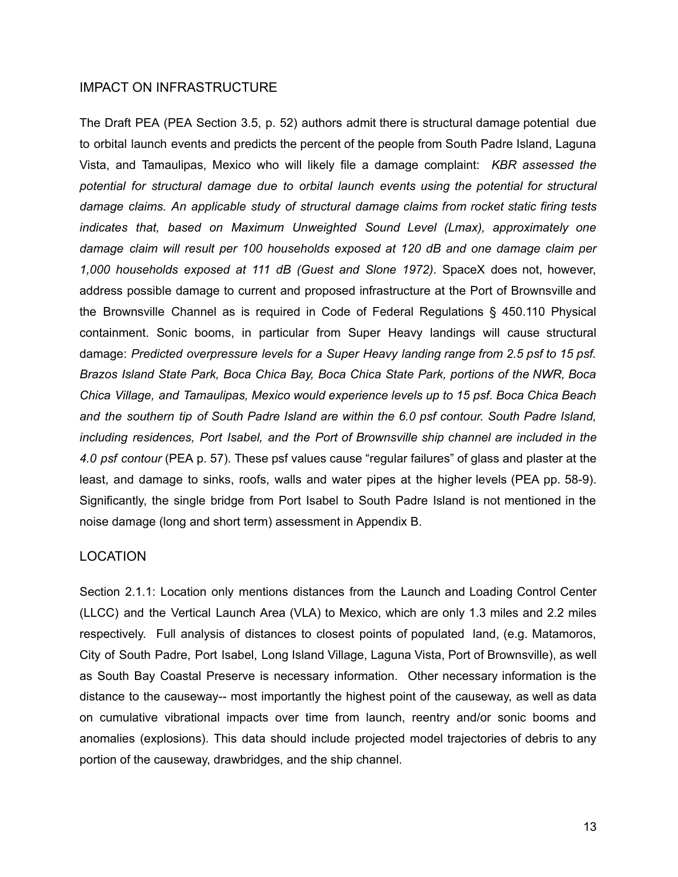#### IMPACT ON INFRASTRUCTURE

The Draft PEA (PEA Section 3.5, p. 52) authors admit there is structural damage potential due to orbital launch events and predicts the percent of the people from South Padre Island, Laguna Vista, and Tamaulipas, Mexico who will likely file a damage complaint: *KBR assessed the potential for structural damage due to orbital launch events using the potential for structural damage claims. An applicable study of structural damage claims from rocket static firing tests indicates that, based on Maximum Unweighted Sound Level (Lmax), approximately one damage claim will result per 100 households exposed at 120 dB and one damage claim per 1,000 households exposed at 111 dB (Guest and Slone 1972)*. SpaceX does not, however, address possible damage to current and proposed infrastructure at the Port of Brownsville and the Brownsville Channel as is required in Code of Federal Regulations § 450.110 Physical containment. Sonic booms, in particular from Super Heavy landings will cause structural damage: *Predicted overpressure levels for a Super Heavy landing range from 2.5 psf to 15 psf. Brazos Island State Park, Boca Chica Bay, Boca Chica State Park, portions of the NWR, Boca Chica Village, and Tamaulipas, Mexico would experience levels up to 15 psf. Boca Chica Beach and the southern tip of South Padre Island are within the 6.0 psf contour. South Padre Island, including residences, Port Isabel, and the Port of Brownsville ship channel are included in the 4.0 psf contour* (PEA p. 57). These psf values cause "regular failures" of glass and plaster at the least, and damage to sinks, roofs, walls and water pipes at the higher levels (PEA pp. 58-9). Significantly, the single bridge from Port Isabel to South Padre Island is not mentioned in the noise damage (long and short term) assessment in Appendix B.

### LOCATION

Section 2.1.1: Location only mentions distances from the Launch and Loading Control Center (LLCC) and the Vertical Launch Area (VLA) to Mexico, which are only 1.3 miles and 2.2 miles respectively. Full analysis of distances to closest points of populated land, (e.g. Matamoros, City of South Padre, Port Isabel, Long Island Village, Laguna Vista, Port of Brownsville), as well as South Bay Coastal Preserve is necessary information. Other necessary information is the distance to the causeway-- most importantly the highest point of the causeway, as well as data on cumulative vibrational impacts over time from launch, reentry and/or sonic booms and anomalies (explosions). This data should include projected model trajectories of debris to any portion of the causeway, drawbridges, and the ship channel.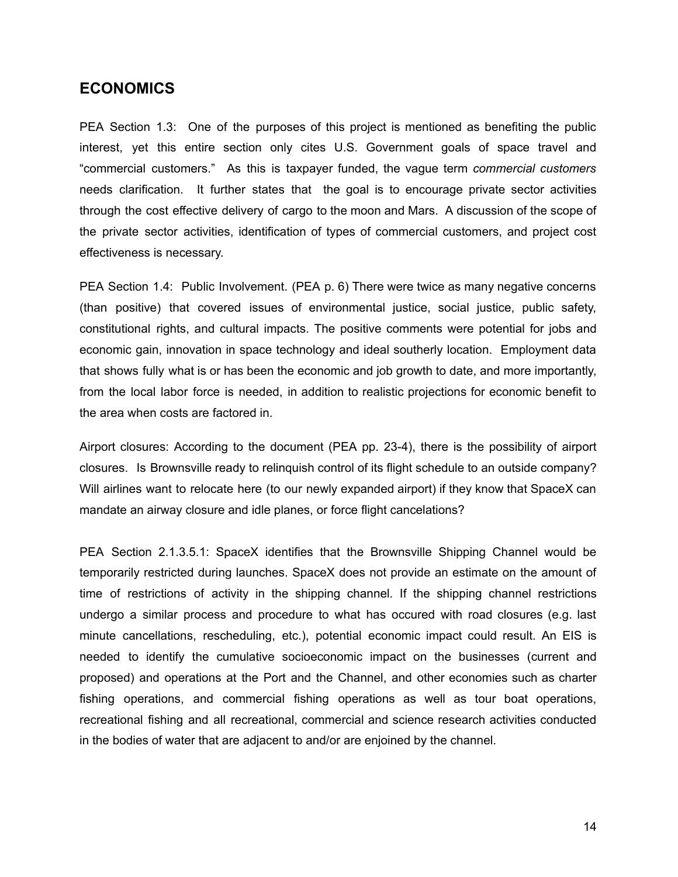### **ECONOMICS**

PEA Section 1.3: One of the purposes of this project is mentioned as benefiting the public interest, yet this entire section only cites U.S. Government goals of space travel and "commercial customers." As this is taxpayer funded, the vague term *commercial customers* needs clarification. It further states that the goal is to encourage private sector activities through the cost effective delivery of cargo to the moon and Mars. A discussion of the scope of the private sector activities, identification of types of commercial customers, and project cost effectiveness is necessary.

PEA Section 1.4: Public Involvement. (PEA p. 6) There were twice as many negative concerns (than positive) that covered issues of environmental justice, social justice, public safety, constitutional rights, and cultural impacts. The positive comments were potential for jobs and economic gain, innovation in space technology and ideal southerly location. Employment data that shows fully what is or has been the economic and job growth to date, and more importantly, from the local labor force is needed, in addition to realistic projections for economic benefit to the area when costs are factored in.

Airport closures: According to the document (PEA pp. 23-4), there is the possibility of airport closures. Is Brownsville ready to relinquish control of its flight schedule to an outside company? Will airlines want to relocate here (to our newly expanded airport) if they know that SpaceX can mandate an airway closure and idle planes, or force flight cancelations?

PEA Section 2.1.3.5.1: SpaceX identifies that the Brownsville Shipping Channel would be temporarily restricted during launches. SpaceX does not provide an estimate on the amount of time of restrictions of activity in the shipping channel. If the shipping channel restrictions undergo a similar process and procedure to what has occured with road closures (e.g. last minute cancellations, rescheduling, etc.), potential economic impact could result. An EIS is needed to identify the cumulative socioeconomic impact on the businesses (current and proposed) and operations at the Port and the Channel, and other economies such as charter fishing operations, and commercial fishing operations as well as tour boat operations, recreational fishing and all recreational, commercial and science research activities conducted in the bodies of water that are adjacent to and/or are enjoined by the channel.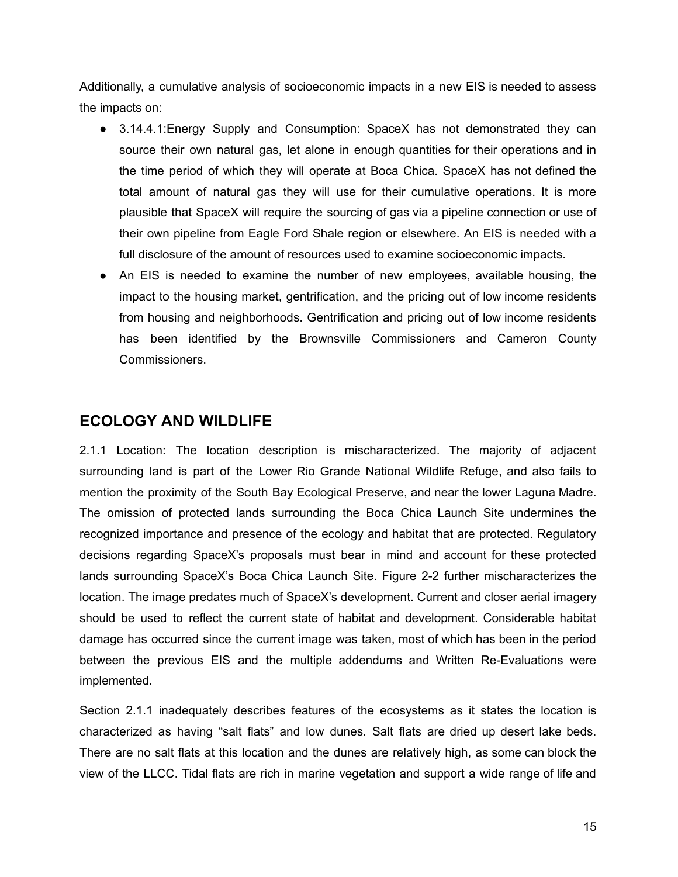Additionally, a cumulative analysis of socioeconomic impacts in a new EIS is needed to assess the impacts on:

- 3.14.4.1: Energy Supply and Consumption: SpaceX has not demonstrated they can source their own natural gas, let alone in enough quantities for their operations and in the time period of which they will operate at Boca Chica. SpaceX has not defined the total amount of natural gas they will use for their cumulative operations. It is more plausible that SpaceX will require the sourcing of gas via a pipeline connection or use of their own pipeline from Eagle Ford Shale region or elsewhere. An EIS is needed with a full disclosure of the amount of resources used to examine socioeconomic impacts.
- An EIS is needed to examine the number of new employees, available housing, the impact to the housing market, gentrification, and the pricing out of low income residents from housing and neighborhoods. Gentrification and pricing out of low income residents has been identified by the Brownsville Commissioners and Cameron County Commissioners.

# **ECOLOGY AND WILDLIFE**

2.1.1 Location: The location description is mischaracterized. The majority of adjacent surrounding land is part of the Lower Rio Grande National Wildlife Refuge, and also fails to mention the proximity of the South Bay Ecological Preserve, and near the lower Laguna Madre. The omission of protected lands surrounding the Boca Chica Launch Site undermines the recognized importance and presence of the ecology and habitat that are protected. Regulatory decisions regarding SpaceX's proposals must bear in mind and account for these protected lands surrounding SpaceX's Boca Chica Launch Site. Figure 2-2 further mischaracterizes the location. The image predates much of SpaceX's development. Current and closer aerial imagery should be used to reflect the current state of habitat and development. Considerable habitat damage has occurred since the current image was taken, most of which has been in the period between the previous EIS and the multiple addendums and Written Re-Evaluations were implemented.

Section 2.1.1 inadequately describes features of the ecosystems as it states the location is characterized as having "salt flats" and low dunes. Salt flats are dried up desert lake beds. There are no salt flats at this location and the dunes are relatively high, as some can block the view of the LLCC. Tidal flats are rich in marine vegetation and support a wide range of life and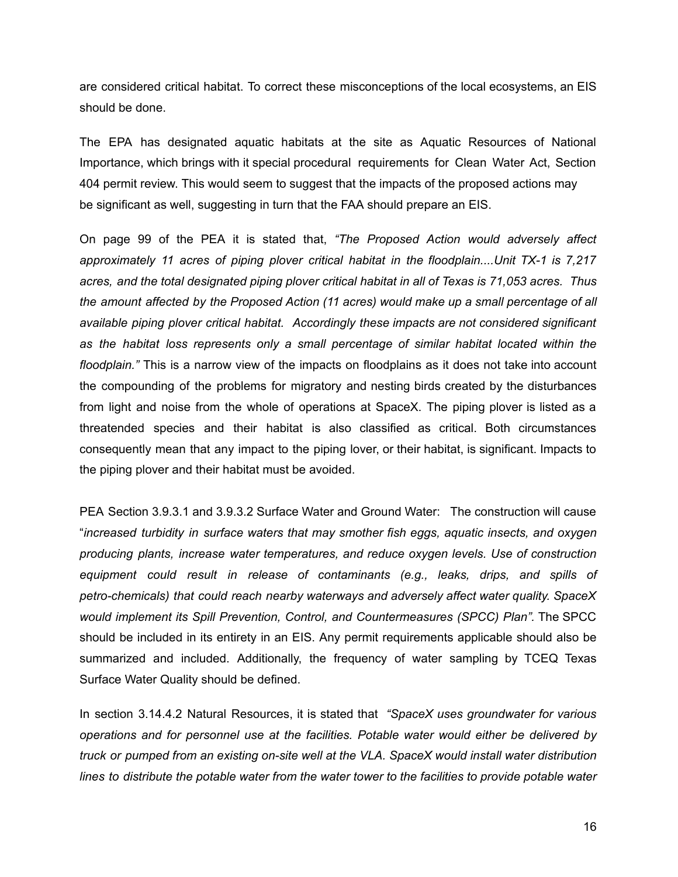are considered critical habitat. To correct these misconceptions of the local ecosystems, an EIS should be done.

The EPA has designated aquatic habitats at the site as Aquatic Resources of National Importance, which brings with it special procedural requirements for Clean Water Act, Section 404 permit review. This would seem to suggest that the impacts of the proposed actions may be significant as well, suggesting in turn that the FAA should prepare an EIS.

On page 99 of the PEA it is stated that, *"The Proposed Action would adversely affect approximately 11 acres of piping plover critical habitat in the floodplain....Unit TX-1 is 7,217 acres, and the total designated piping plover critical habitat in all of Texas is 71,053 acres. Thus the amount affected by the Proposed Action (11 acres) would make up a small percentage of all available piping plover critical habitat. Accordingly these impacts are not considered significant as the habitat loss represents only a small percentage of similar habitat located within the floodplain."* This is a narrow view of the impacts on floodplains as it does not take into account the compounding of the problems for migratory and nesting birds created by the disturbances from light and noise from the whole of operations at SpaceX. The piping plover is listed as a threatended species and their habitat is also classified as critical. Both circumstances consequently mean that any impact to the piping lover, or their habitat, is significant. Impacts to the piping plover and their habitat must be avoided.

PEA Section 3.9.3.1 and 3.9.3.2 Surface Water and Ground Water: The construction will cause "*increased turbidity in surface waters that may smother fish eggs, aquatic insects, and oxygen producing plants, increase water temperatures, and reduce oxygen levels. Use of construction equipment could result in release of contaminants (e.g., leaks, drips, and spills of petro-chemicals) that could reach nearby waterways and adversely affect water quality. SpaceX would implement its Spill Prevention, Control, and Countermeasures (SPCC) Plan".* The SPCC should be included in its entirety in an EIS. Any permit requirements applicable should also be summarized and included. Additionally, the frequency of water sampling by TCEQ Texas Surface Water Quality should be defined.

In section 3.14.4.2 Natural Resources, it is stated that *"SpaceX uses groundwater for various operations and for personnel use at the facilities. Potable water would either be delivered by truck or pumped from an existing on-site well at the VLA. SpaceX would install water distribution lines to distribute the potable water from the water tower to the facilities to provide potable water*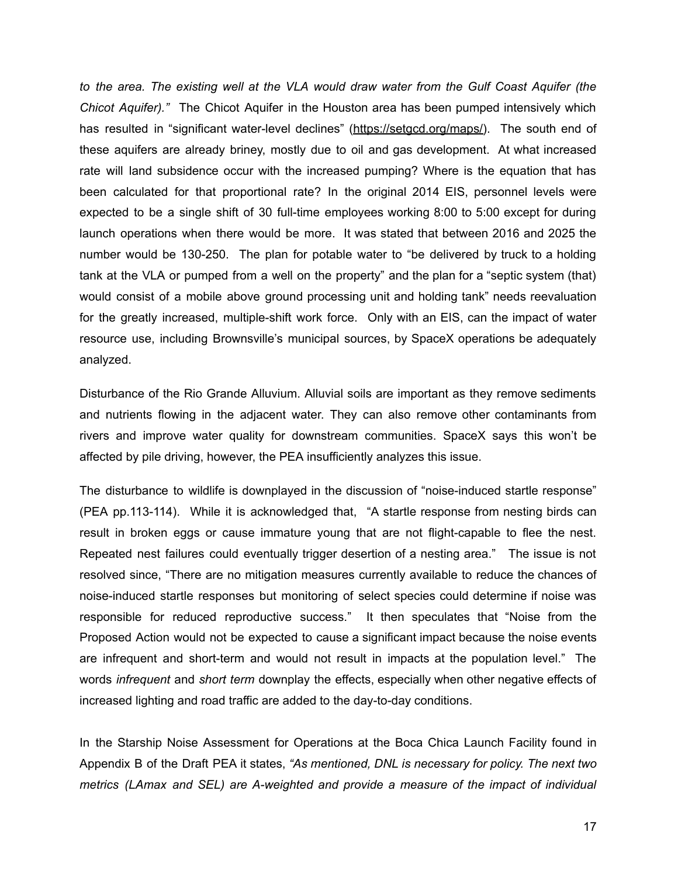*to the area. The existing well at the VLA would draw water from the Gulf Coast Aquifer (the Chicot Aquifer)."* The Chicot Aquifer in the Houston area has been pumped intensively which has resulted in "significant water-level declines" (https://setgcd.org/maps/). The south end of these aquifers are already briney, mostly due to oil and gas development. At what increased rate will land subsidence occur with the increased pumping? Where is the equation that has been calculated for that proportional rate? In the original 2014 EIS, personnel levels were expected to be a single shift of 30 full-time employees working 8:00 to 5:00 except for during launch operations when there would be more. It was stated that between 2016 and 2025 the number would be 130-250. The plan for potable water to "be delivered by truck to a holding tank at the VLA or pumped from a well on the property" and the plan for a "septic system (that) would consist of a mobile above ground processing unit and holding tank" needs reevaluation for the greatly increased, multiple-shift work force. Only with an EIS, can the impact of water resource use, including Brownsville's municipal sources, by SpaceX operations be adequately analyzed.

Disturbance of the Rio Grande Alluvium. Alluvial soils are important as they remove sediments and nutrients flowing in the adjacent water. They can also remove other contaminants from rivers and improve water quality for downstream communities. SpaceX says this won't be affected by pile driving, however, the PEA insufficiently analyzes this issue.

The disturbance to wildlife is downplayed in the discussion of "noise-induced startle response" (PEA pp.113-114). While it is acknowledged that, "A startle response from nesting birds can result in broken eggs or cause immature young that are not flight-capable to flee the nest. Repeated nest failures could eventually trigger desertion of a nesting area." The issue is not resolved since, "There are no mitigation measures currently available to reduce the chances of noise-induced startle responses but monitoring of select species could determine if noise was responsible for reduced reproductive success." It then speculates that "Noise from the Proposed Action would not be expected to cause a significant impact because the noise events are infrequent and short-term and would not result in impacts at the population level." The words *infrequent* and *short term* downplay the effects, especially when other negative effects of increased lighting and road traffic are added to the day-to-day conditions.

In the Starship Noise Assessment for Operations at the Boca Chica Launch Facility found in Appendix B of the Draft PEA it states, *"As mentioned, DNL is necessary for policy. The next two metrics (LAmax and SEL) are A-weighted and provide a measure of the impact of individual*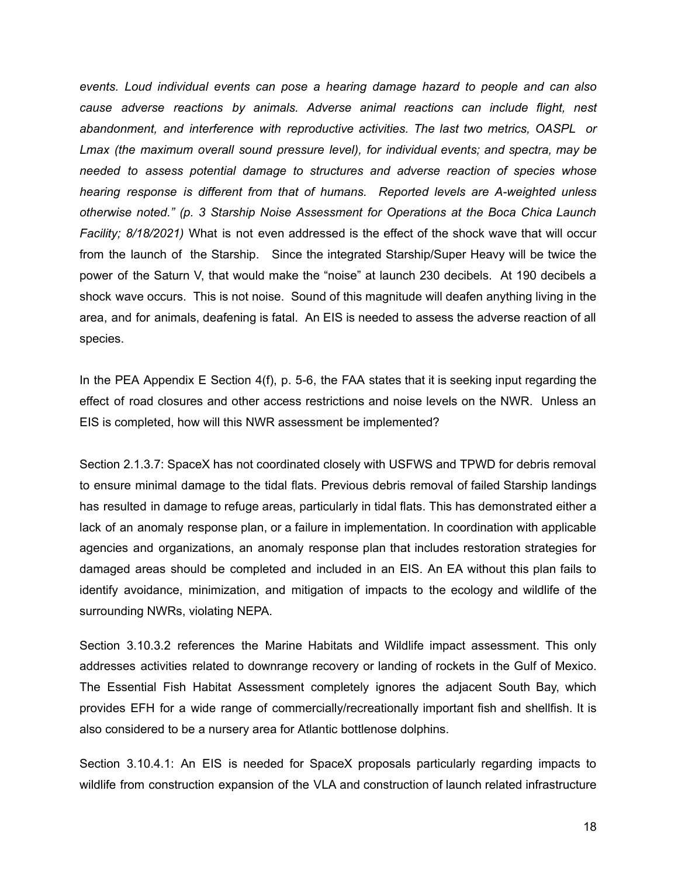*events. Loud individual events can pose a hearing damage hazard to people and can also cause adverse reactions by animals. Adverse animal reactions can include flight, nest abandonment, and interference with reproductive activities. The last two metrics, OASPL or Lmax (the maximum overall sound pressure level), for individual events; and spectra, may be needed to assess potential damage to structures and adverse reaction of species whose hearing response is different from that of humans. Reported levels are A-weighted unless otherwise noted." (p. 3 Starship Noise Assessment for Operations at the Boca Chica Launch Facility; 8/18/2021)* What is not even addressed is the effect of the shock wave that will occur from the launch of the Starship. Since the integrated Starship/Super Heavy will be twice the power of the Saturn V, that would make the "noise" at launch 230 decibels. At 190 decibels a shock wave occurs. This is not noise. Sound of this magnitude will deafen anything living in the area, and for animals, deafening is fatal. An EIS is needed to assess the adverse reaction of all species.

In the PEA Appendix E Section 4(f), p. 5-6, the FAA states that it is seeking input regarding the effect of road closures and other access restrictions and noise levels on the NWR. Unless an EIS is completed, how will this NWR assessment be implemented?

Section 2.1.3.7: SpaceX has not coordinated closely with USFWS and TPWD for debris removal to ensure minimal damage to the tidal flats. Previous debris removal of failed Starship landings has resulted in damage to refuge areas, particularly in tidal flats. This has demonstrated either a lack of an anomaly response plan, or a failure in implementation. In coordination with applicable agencies and organizations, an anomaly response plan that includes restoration strategies for damaged areas should be completed and included in an EIS. An EA without this plan fails to identify avoidance, minimization, and mitigation of impacts to the ecology and wildlife of the surrounding NWRs, violating NEPA.

Section 3.10.3.2 references the Marine Habitats and Wildlife impact assessment. This only addresses activities related to downrange recovery or landing of rockets in the Gulf of Mexico. The Essential Fish Habitat Assessment completely ignores the adjacent South Bay, which provides EFH for a wide range of commercially/recreationally important fish and shellfish. It is also considered to be a nursery area for Atlantic bottlenose dolphins.

Section 3.10.4.1: An EIS is needed for SpaceX proposals particularly regarding impacts to wildlife from construction expansion of the VLA and construction of launch related infrastructure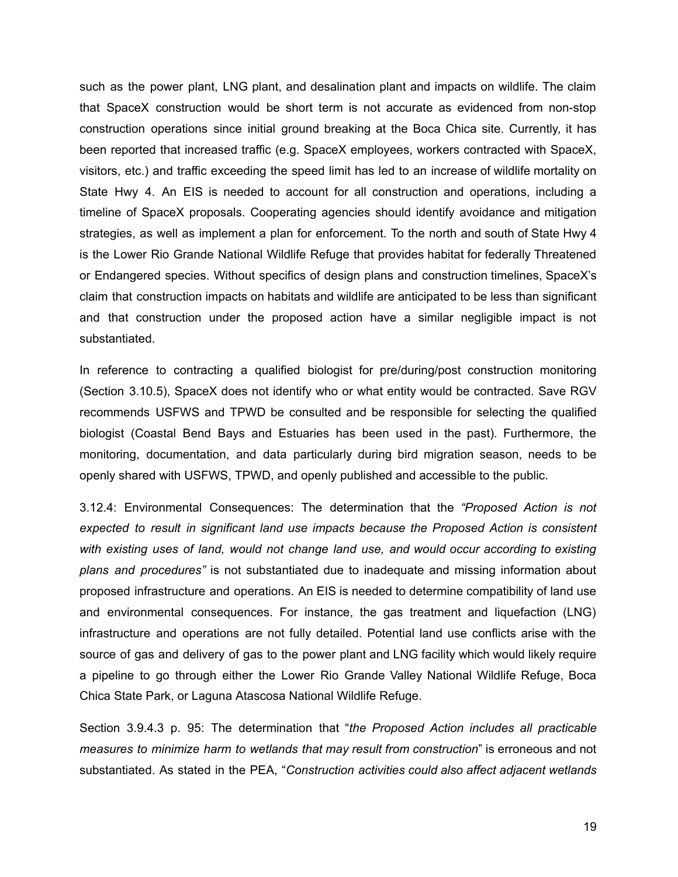such as the power plant, LNG plant, and desalination plant and impacts on wildlife. The claim that SpaceX construction would be short term is not accurate as evidenced from non-stop construction operations since initial ground breaking at the Boca Chica site. Currently, it has been reported that increased traffic (e.g. SpaceX employees, workers contracted with SpaceX, visitors, etc.) and traffic exceeding the speed limit has led to an increase of wildlife mortality on State Hwy 4. An EIS is needed to account for all construction and operations, including a timeline of SpaceX proposals. Cooperating agencies should identify avoidance and mitigation strategies, as well as implement a plan for enforcement. To the north and south of State Hwy 4 is the Lower Rio Grande National Wildlife Refuge that provides habitat for federally Threatened or Endangered species. Without specifics of design plans and construction timelines, SpaceX's claim that construction impacts on habitats and wildlife are anticipated to be less than significant and that construction under the proposed action have a similar negligible impact is not substantiated.

In reference to contracting a qualified biologist for pre/during/post construction monitoring (Section 3.10.5), SpaceX does not identify who or what entity would be contracted. Save RGV recommends USFWS and TPWD be consulted and be responsible for selecting the qualified biologist (Coastal Bend Bays and Estuaries has been used in the past). Furthermore, the monitoring, documentation, and data particularly during bird migration season, needs to be openly shared with USFWS, TPWD, and openly published and accessible to the public.

3.12.4: Environmental Consequences: The determination that the *"Proposed Action is not expected to result in significant land use impacts because the Proposed Action is consistent with existing uses of land, would not change land use, and would occur according to existing plans and procedures"* is not substantiated due to inadequate and missing information about proposed infrastructure and operations. An EIS is needed to determine compatibility of land use and environmental consequences. For instance, the gas treatment and liquefaction (LNG) infrastructure and operations are not fully detailed. Potential land use conflicts arise with the source of gas and delivery of gas to the power plant and LNG facility which would likely require a pipeline to go through either the Lower Rio Grande Valley National Wildlife Refuge, Boca Chica State Park, or Laguna Atascosa National Wildlife Refuge.

Section 3.9.4.3 p. 95: The determination that "*the Proposed Action includes all practicable measures to minimize harm to wetlands that may result from construction*" is erroneous and not substantiated. As stated in the PEA, "*Construction activities could also affect adjacent wetlands*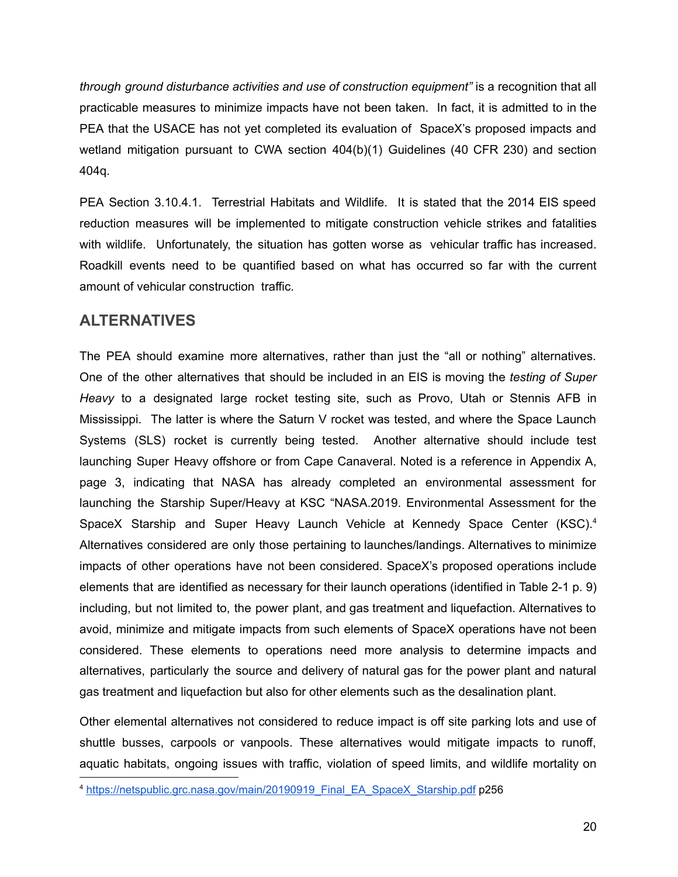*through ground disturbance activities and use of construction equipment"* is a recognition that all practicable measures to minimize impacts have not been taken. In fact, it is admitted to in the PEA that the USACE has not yet completed its evaluation of SpaceX's proposed impacts and wetland mitigation pursuant to CWA section 404(b)(1) Guidelines (40 CFR 230) and section 404q.

PEA Section 3.10.4.1. Terrestrial Habitats and Wildlife. It is stated that the 2014 EIS speed reduction measures will be implemented to mitigate construction vehicle strikes and fatalities with wildlife. Unfortunately, the situation has gotten worse as vehicular traffic has increased. Roadkill events need to be quantified based on what has occurred so far with the current amount of vehicular construction traffic.

# **ALTERNATIVES**

The PEA should examine more alternatives, rather than just the "all or nothing" alternatives. One of the other alternatives that should be included in an EIS is moving the *testing of Super Heavy* to a designated large rocket testing site, such as Provo, Utah or Stennis AFB in Mississippi. The latter is where the Saturn V rocket was tested, and where the Space Launch Systems (SLS) rocket is currently being tested. Another alternative should include test launching Super Heavy offshore or from Cape Canaveral. Noted is a reference in Appendix A, page 3, indicating that NASA has already completed an environmental assessment for launching the Starship Super/Heavy at KSC "NASA.2019. Environmental Assessment for the SpaceX Starship and Super Heavy Launch Vehicle at Kennedy Space Center (KSC).<sup>4</sup> Alternatives considered are only those pertaining to launches/landings. Alternatives to minimize impacts of other operations have not been considered. SpaceX's proposed operations include elements that are identified as necessary for their launch operations (identified in Table 2-1 p. 9) including, but not limited to, the power plant, and gas treatment and liquefaction. Alternatives to avoid, minimize and mitigate impacts from such elements of SpaceX operations have not been considered. These elements to operations need more analysis to determine impacts and alternatives, particularly the source and delivery of natural gas for the power plant and natural gas treatment and liquefaction but also for other elements such as the desalination plant.

Other elemental alternatives not considered to reduce impact is off site parking lots and use of shuttle busses, carpools or vanpools. These alternatives would mitigate impacts to runoff, aquatic habitats, ongoing issues with traffic, violation of speed limits, and wildlife mortality on

<sup>4</sup> https://netspublic.grc.nasa.gov/main/20190919\_Final\_EA\_SpaceX\_Starship.pdf p256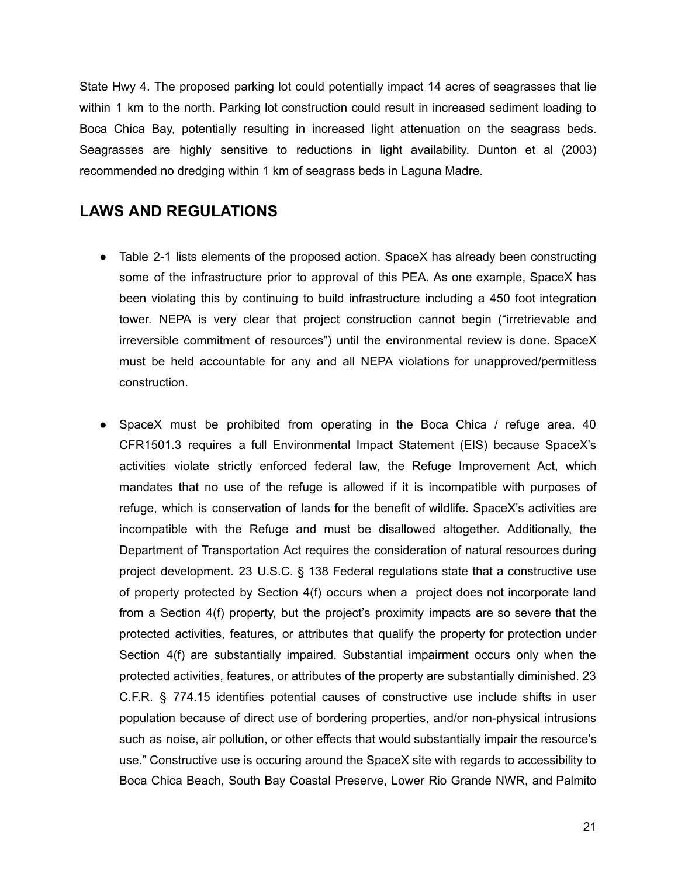State Hwy 4. The proposed parking lot could potentially impact 14 acres of seagrasses that lie within 1 km to the north. Parking lot construction could result in increased sediment loading to Boca Chica Bay, potentially resulting in increased light attenuation on the seagrass beds. Seagrasses are highly sensitive to reductions in light availability. Dunton et al (2003) recommended no dredging within 1 km of seagrass beds in Laguna Madre.

## **LAWS AND REGULATIONS**

- Table 2-1 lists elements of the proposed action. SpaceX has already been constructing some of the infrastructure prior to approval of this PEA. As one example, SpaceX has been violating this by continuing to build infrastructure including a 450 foot integration tower. NEPA is very clear that project construction cannot begin ("irretrievable and irreversible commitment of resources") until the environmental review is done. SpaceX must be held accountable for any and all NEPA violations for unapproved/permitless construction.
- SpaceX must be prohibited from operating in the Boca Chica / refuge area. 40 CFR1501.3 requires a full Environmental Impact Statement (EIS) because SpaceX's activities violate strictly enforced federal law, the Refuge Improvement Act, which mandates that no use of the refuge is allowed if it is incompatible with purposes of refuge, which is conservation of lands for the benefit of wildlife. SpaceX's activities are incompatible with the Refuge and must be disallowed altogether. Additionally, the Department of Transportation Act requires the consideration of natural resources during project development. 23 U.S.C. § 138 Federal regulations state that a constructive use of property protected by Section 4(f) occurs when a project does not incorporate land from a Section 4(f) property, but the project's proximity impacts are so severe that the protected activities, features, or attributes that qualify the property for protection under Section 4(f) are substantially impaired. Substantial impairment occurs only when the protected activities, features, or attributes of the property are substantially diminished. 23 C.F.R. § 774.15 identifies potential causes of constructive use include shifts in user population because of direct use of bordering properties, and/or non-physical intrusions such as noise, air pollution, or other effects that would substantially impair the resource's use." Constructive use is occuring around the SpaceX site with regards to accessibility to Boca Chica Beach, South Bay Coastal Preserve, Lower Rio Grande NWR, and Palmito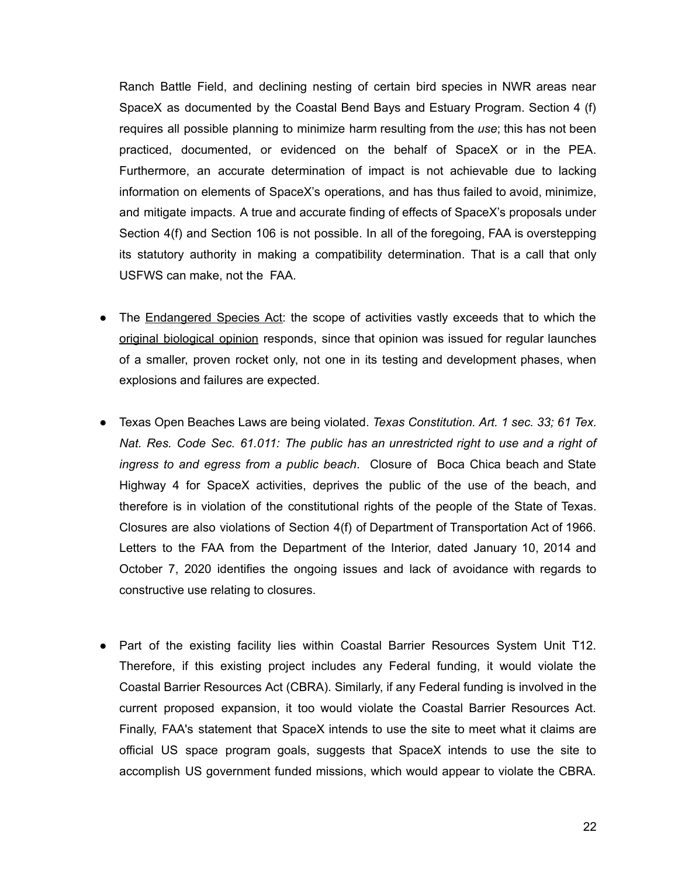Ranch Battle Field, and declining nesting of certain bird species in NWR areas near SpaceX as documented by the Coastal Bend Bays and Estuary Program. Section 4 (f) requires all possible planning to minimize harm resulting from the *use*; this has not been practiced, documented, or evidenced on the behalf of SpaceX or in the PEA. Furthermore, an accurate determination of impact is not achievable due to lacking information on elements of SpaceX's operations, and has thus failed to avoid, minimize, and mitigate impacts. A true and accurate finding of effects of SpaceX's proposals under Section 4(f) and Section 106 is not possible. In all of the foregoing, FAA is overstepping its statutory authority in making a compatibility determination. That is a call that only USFWS can make, not the FAA.

- The Endangered Species Act: the scope of activities vastly exceeds that to which the original biological opinion responds, since that opinion was issued for regular launches of a smaller, proven rocket only, not one in its testing and development phases, when explosions and failures are expected.
- Texas Open Beaches Laws are being violated. *Texas Constitution. Art. 1 sec. 33; 61 Tex. Nat. Res. Code Sec. 61.011: The public has an unrestricted right to use and a right of ingress to and egress from a public beach*. Closure of Boca Chica beach and State Highway 4 for SpaceX activities, deprives the public of the use of the beach, and therefore is in violation of the constitutional rights of the people of the State of Texas. Closures are also violations of Section 4(f) of Department of Transportation Act of 1966. Letters to the FAA from the Department of the Interior, dated January 10, 2014 and October 7, 2020 identifies the ongoing issues and lack of avoidance with regards to constructive use relating to closures.
- Part of the existing facility lies within Coastal Barrier Resources System Unit T12. Therefore, if this existing project includes any Federal funding, it would violate the Coastal Barrier Resources Act (CBRA). Similarly, if any Federal funding is involved in the current proposed expansion, it too would violate the Coastal Barrier Resources Act. Finally, FAA's statement that SpaceX intends to use the site to meet what it claims are official US space program goals, suggests that SpaceX intends to use the site to accomplish US government funded missions, which would appear to violate the CBRA.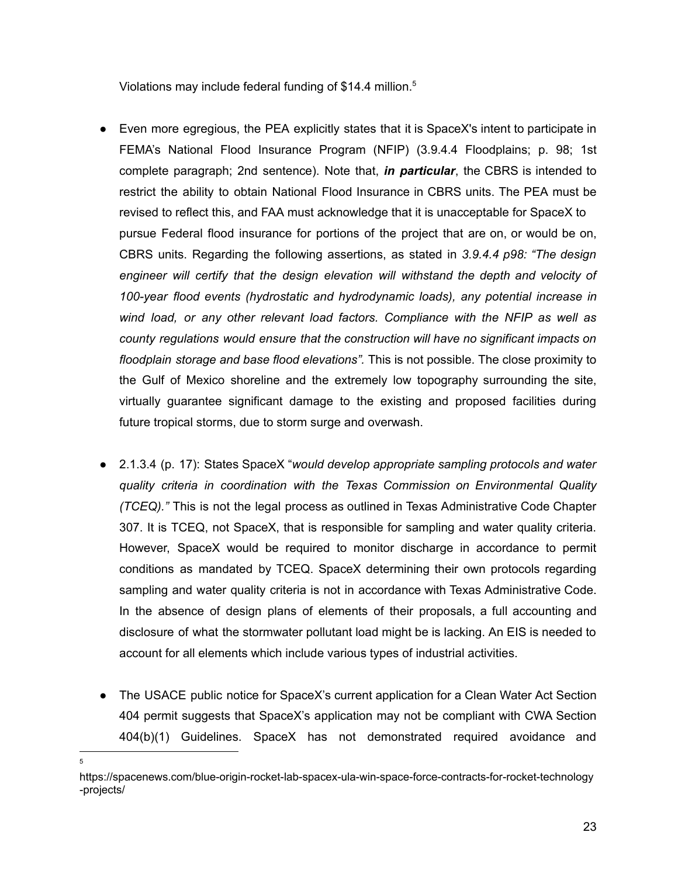Violations may include federal funding of \$14.4 million.<sup>5</sup>

- Even more egregious, the PEA explicitly states that it is SpaceX's intent to participate in FEMA's National Flood Insurance Program (NFIP) (3.9.4.4 Floodplains; p. 98; 1st complete paragraph; 2nd sentence). Note that, *in particular*, the CBRS is intended to restrict the ability to obtain National Flood Insurance in CBRS units. The PEA must be revised to reflect this, and FAA must acknowledge that it is unacceptable for SpaceX to pursue Federal flood insurance for portions of the project that are on, or would be on, CBRS units. Regarding the following assertions, as stated in *3.9.4.4 p98: "The design engineer will certify that the design elevation will withstand the depth and velocity of 100-year flood events (hydrostatic and hydrodynamic loads), any potential increase in wind load, or any other relevant load factors. Compliance with the NFIP as well as county regulations would ensure that the construction will have no significant impacts on floodplain storage and base flood elevations".* This is not possible. The close proximity to the Gulf of Mexico shoreline and the extremely low topography surrounding the site, virtually guarantee significant damage to the existing and proposed facilities during future tropical storms, due to storm surge and overwash.
- 2.1.3.4 (p. 17): States SpaceX "*would develop appropriate sampling protocols and water quality criteria in coordination with the Texas Commission on Environmental Quality (TCEQ)."* This is not the legal process as outlined in Texas Administrative Code Chapter 307. It is TCEQ, not SpaceX, that is responsible for sampling and water quality criteria. However, SpaceX would be required to monitor discharge in accordance to permit conditions as mandated by TCEQ. SpaceX determining their own protocols regarding sampling and water quality criteria is not in accordance with Texas Administrative Code. In the absence of design plans of elements of their proposals, a full accounting and disclosure of what the stormwater pollutant load might be is lacking. An EIS is needed to account for all elements which include various types of industrial activities.
- The USACE public notice for SpaceX's current application for a Clean Water Act Section 404 permit suggests that SpaceX's application may not be compliant with CWA Section 404(b)(1) Guidelines. SpaceX has not demonstrated required avoidance and

5

https://spacenews.com/blue-origin-rocket-lab-spacex-ula-win-space-force-contracts-for-rocket-technology -projects/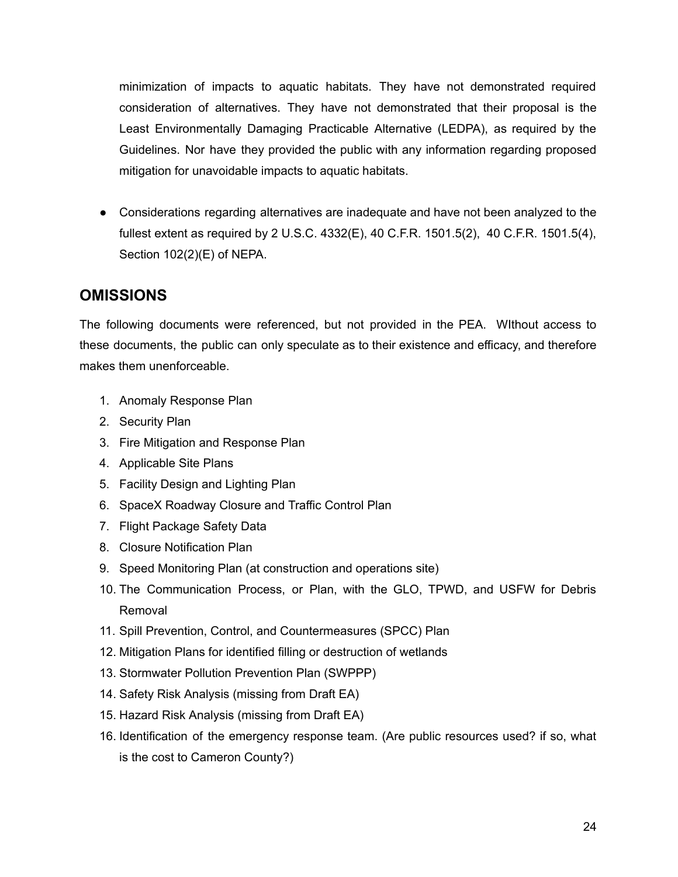minimization of impacts to aquatic habitats. They have not demonstrated required consideration of alternatives. They have not demonstrated that their proposal is the Least Environmentally Damaging Practicable Alternative (LEDPA), as required by the Guidelines. Nor have they provided the public with any information regarding proposed mitigation for unavoidable impacts to aquatic habitats.

● Considerations regarding alternatives are inadequate and have not been analyzed to the fullest extent as required by 2 U.S.C. 4332(E), 40 C.F.R. 1501.5(2), 40 C.F.R. 1501.5(4), Section 102(2)(E) of NEPA.

# **OMISSIONS**

The following documents were referenced, but not provided in the PEA. WIthout access to these documents, the public can only speculate as to their existence and efficacy, and therefore makes them unenforceable.

- 1. Anomaly Response Plan
- 2. Security Plan
- 3. Fire Mitigation and Response Plan
- 4. Applicable Site Plans
- 5. Facility Design and Lighting Plan
- 6. SpaceX Roadway Closure and Traffic Control Plan
- 7. Flight Package Safety Data
- 8. Closure Notification Plan
- 9. Speed Monitoring Plan (at construction and operations site)
- 10. The Communication Process, or Plan, with the GLO, TPWD, and USFW for Debris Removal
- 11. Spill Prevention, Control, and Countermeasures (SPCC) Plan
- 12. Mitigation Plans for identified filling or destruction of wetlands
- 13. Stormwater Pollution Prevention Plan (SWPPP)
- 14. Safety Risk Analysis (missing from Draft EA)
- 15. Hazard Risk Analysis (missing from Draft EA)
- 16. Identification of the emergency response team. (Are public resources used? if so, what is the cost to Cameron County?)